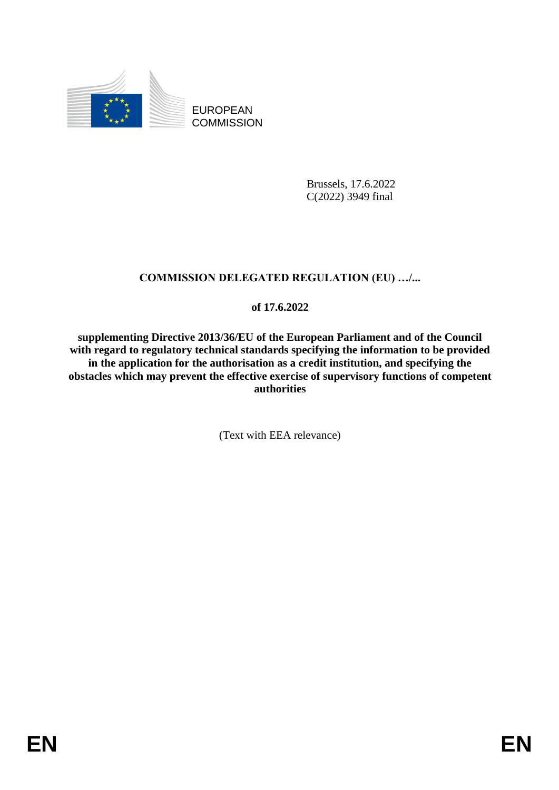

EUROPEAN **COMMISSION** 

> Brussels, 17.6.2022 C(2022) 3949 final

# **COMMISSION DELEGATED REGULATION (EU) …/...**

## **of 17.6.2022**

**supplementing Directive 2013/36/EU of the European Parliament and of the Council with regard to regulatory technical standards specifying the information to be provided in the application for the authorisation as a credit institution, and specifying the obstacles which may prevent the effective exercise of supervisory functions of competent authorities**

(Text with EEA relevance)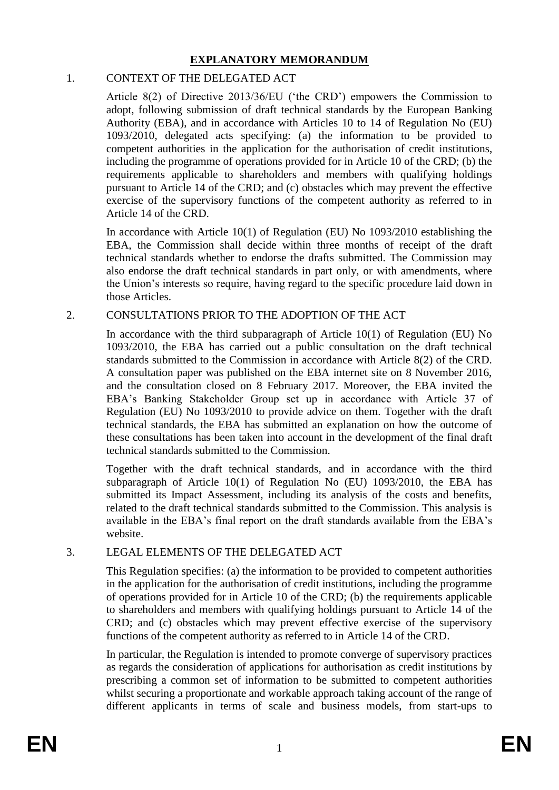### **EXPLANATORY MEMORANDUM**

### 1. CONTEXT OF THE DELEGATED ACT

Article 8(2) of Directive 2013/36/EU ('the CRD') empowers the Commission to adopt, following submission of draft technical standards by the European Banking Authority (EBA), and in accordance with Articles 10 to 14 of Regulation No (EU) 1093/2010, delegated acts specifying: (a) the information to be provided to competent authorities in the application for the authorisation of credit institutions, including the programme of operations provided for in Article 10 of the CRD; (b) the requirements applicable to shareholders and members with qualifying holdings pursuant to Article 14 of the CRD; and (c) obstacles which may prevent the effective exercise of the supervisory functions of the competent authority as referred to in Article 14 of the CRD.

In accordance with Article 10(1) of Regulation (EU) No 1093/2010 establishing the EBA, the Commission shall decide within three months of receipt of the draft technical standards whether to endorse the drafts submitted. The Commission may also endorse the draft technical standards in part only, or with amendments, where the Union's interests so require, having regard to the specific procedure laid down in those Articles.

## 2. CONSULTATIONS PRIOR TO THE ADOPTION OF THE ACT

In accordance with the third subparagraph of Article  $10(1)$  of Regulation (EU) No 1093/2010, the EBA has carried out a public consultation on the draft technical standards submitted to the Commission in accordance with Article 8(2) of the CRD. A consultation paper was published on the EBA internet site on 8 November 2016, and the consultation closed on 8 February 2017. Moreover, the EBA invited the EBA's Banking Stakeholder Group set up in accordance with Article 37 of Regulation (EU) No 1093/2010 to provide advice on them. Together with the draft technical standards, the EBA has submitted an explanation on how the outcome of these consultations has been taken into account in the development of the final draft technical standards submitted to the Commission.

Together with the draft technical standards, and in accordance with the third subparagraph of Article 10(1) of Regulation No (EU) 1093/2010, the EBA has submitted its Impact Assessment, including its analysis of the costs and benefits, related to the draft technical standards submitted to the Commission. This analysis is available in the EBA's final report on the draft standards available from the EBA's website.

## 3. LEGAL ELEMENTS OF THE DELEGATED ACT

This Regulation specifies: (a) the information to be provided to competent authorities in the application for the authorisation of credit institutions, including the programme of operations provided for in Article 10 of the CRD; (b) the requirements applicable to shareholders and members with qualifying holdings pursuant to Article 14 of the CRD; and (c) obstacles which may prevent effective exercise of the supervisory functions of the competent authority as referred to in Article 14 of the CRD.

In particular, the Regulation is intended to promote converge of supervisory practices as regards the consideration of applications for authorisation as credit institutions by prescribing a common set of information to be submitted to competent authorities whilst securing a proportionate and workable approach taking account of the range of different applicants in terms of scale and business models, from start-ups to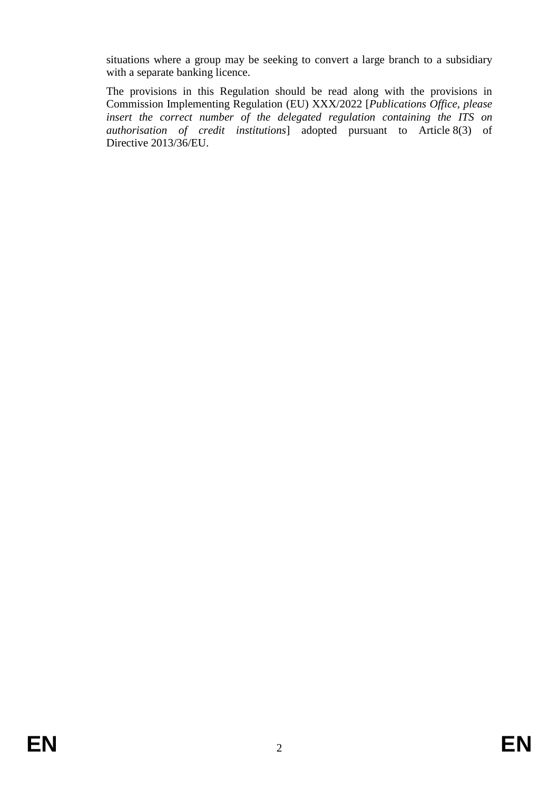situations where a group may be seeking to convert a large branch to a subsidiary with a separate banking licence.

The provisions in this Regulation should be read along with the provisions in Commission Implementing Regulation (EU) XXX/2022 [*Publications Office, please insert the correct number of the delegated regulation containing the ITS on authorisation of credit institutions*] adopted pursuant to Article 8(3) of Directive 2013/36/EU.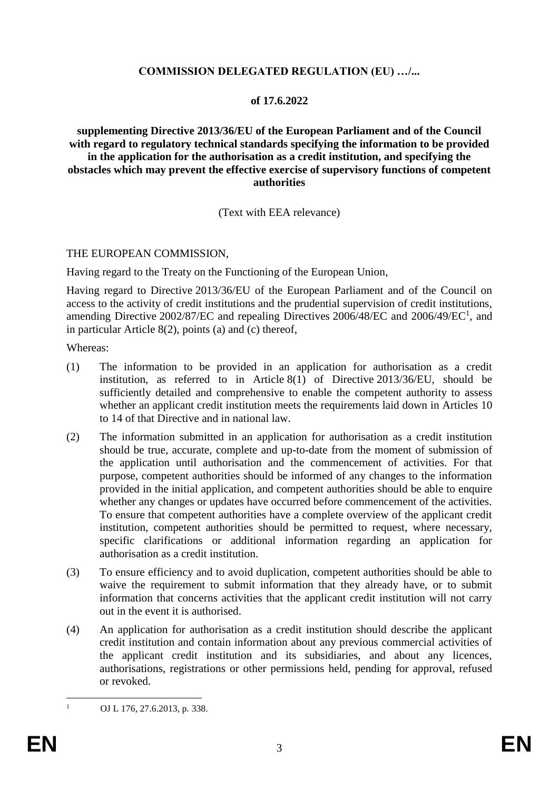### **COMMISSION DELEGATED REGULATION (EU) …/...**

#### **of 17.6.2022**

#### **supplementing Directive 2013/36/EU of the European Parliament and of the Council with regard to regulatory technical standards specifying the information to be provided in the application for the authorisation as a credit institution, and specifying the obstacles which may prevent the effective exercise of supervisory functions of competent authorities**

(Text with EEA relevance)

#### THE EUROPEAN COMMISSION,

Having regard to the Treaty on the Functioning of the European Union,

Having regard to Directive 2013/36/EU of the European Parliament and of the Council on access to the activity of credit institutions and the prudential supervision of credit institutions, amending Directive  $2002/87/EC$  and repealing Directives  $2006/48/EC$  and  $2006/49/EC<sup>1</sup>$ , and in particular Article 8(2), points (a) and (c) thereof,

Whereas:

- (1) The information to be provided in an application for authorisation as a credit institution, as referred to in Article 8(1) of Directive 2013/36/EU, should be sufficiently detailed and comprehensive to enable the competent authority to assess whether an applicant credit institution meets the requirements laid down in Articles 10 to 14 of that Directive and in national law.
- (2) The information submitted in an application for authorisation as a credit institution should be true, accurate, complete and up-to-date from the moment of submission of the application until authorisation and the commencement of activities. For that purpose, competent authorities should be informed of any changes to the information provided in the initial application, and competent authorities should be able to enquire whether any changes or updates have occurred before commencement of the activities. To ensure that competent authorities have a complete overview of the applicant credit institution, competent authorities should be permitted to request, where necessary, specific clarifications or additional information regarding an application for authorisation as a credit institution.
- (3) To ensure efficiency and to avoid duplication, competent authorities should be able to waive the requirement to submit information that they already have, or to submit information that concerns activities that the applicant credit institution will not carry out in the event it is authorised.
- (4) An application for authorisation as a credit institution should describe the applicant credit institution and contain information about any previous commercial activities of the applicant credit institution and its subsidiaries, and about any licences, authorisations, registrations or other permissions held, pending for approval, refused or revoked.

 $\mathbf{1}$ 

OJ L 176, 27.6.2013, p. 338.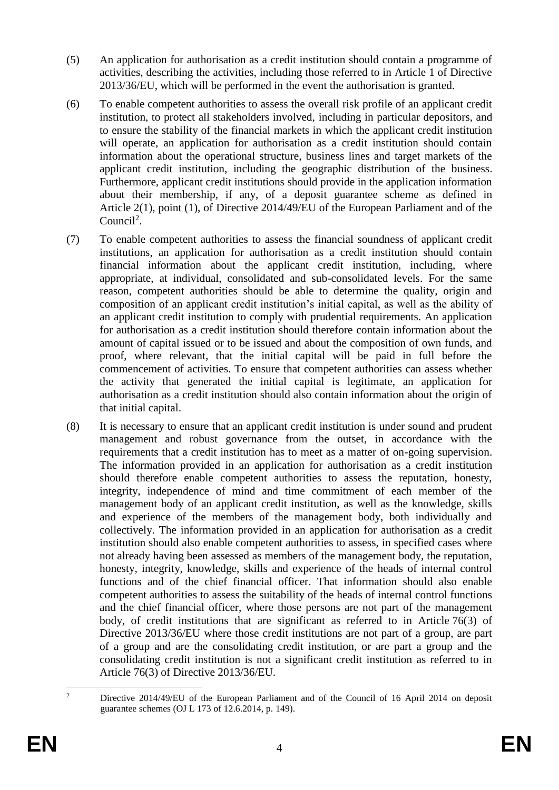- (5) An application for authorisation as a credit institution should contain a programme of activities, describing the activities, including those referred to in Article 1 of Directive 2013/36/EU, which will be performed in the event the authorisation is granted.
- (6) To enable competent authorities to assess the overall risk profile of an applicant credit institution, to protect all stakeholders involved, including in particular depositors, and to ensure the stability of the financial markets in which the applicant credit institution will operate, an application for authorisation as a credit institution should contain information about the operational structure, business lines and target markets of the applicant credit institution, including the geographic distribution of the business. Furthermore, applicant credit institutions should provide in the application information about their membership, if any, of a deposit guarantee scheme as defined in Article 2(1), point (1), of Directive 2014/49/EU of the European Parliament and of the Council<sup>2</sup>.
- (7) To enable competent authorities to assess the financial soundness of applicant credit institutions, an application for authorisation as a credit institution should contain financial information about the applicant credit institution, including, where appropriate, at individual, consolidated and sub-consolidated levels. For the same reason, competent authorities should be able to determine the quality, origin and composition of an applicant credit institution's initial capital, as well as the ability of an applicant credit institution to comply with prudential requirements. An application for authorisation as a credit institution should therefore contain information about the amount of capital issued or to be issued and about the composition of own funds, and proof, where relevant, that the initial capital will be paid in full before the commencement of activities. To ensure that competent authorities can assess whether the activity that generated the initial capital is legitimate, an application for authorisation as a credit institution should also contain information about the origin of that initial capital.
- (8) It is necessary to ensure that an applicant credit institution is under sound and prudent management and robust governance from the outset, in accordance with the requirements that a credit institution has to meet as a matter of on-going supervision. The information provided in an application for authorisation as a credit institution should therefore enable competent authorities to assess the reputation, honesty, integrity, independence of mind and time commitment of each member of the management body of an applicant credit institution, as well as the knowledge, skills and experience of the members of the management body, both individually and collectively. The information provided in an application for authorisation as a credit institution should also enable competent authorities to assess, in specified cases where not already having been assessed as members of the management body, the reputation, honesty, integrity, knowledge, skills and experience of the heads of internal control functions and of the chief financial officer. That information should also enable competent authorities to assess the suitability of the heads of internal control functions and the chief financial officer, where those persons are not part of the management body, of credit institutions that are significant as referred to in Article 76(3) of Directive 2013/36/EU where those credit institutions are not part of a group, are part of a group and are the consolidating credit institution, or are part a group and the consolidating credit institution is not a significant credit institution as referred to in Article 76(3) of Directive 2013/36/EU.

 $\overline{2}$ <sup>2</sup> Directive 2014/49/EU of the European Parliament and of the Council of 16 April 2014 on deposit guarantee schemes (OJ L 173 of 12.6.2014, p. 149).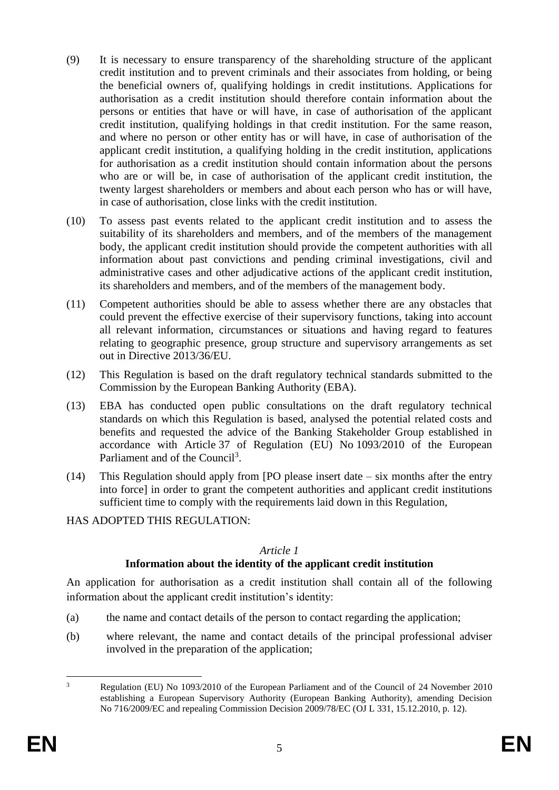- (9) It is necessary to ensure transparency of the shareholding structure of the applicant credit institution and to prevent criminals and their associates from holding, or being the beneficial owners of, qualifying holdings in credit institutions. Applications for authorisation as a credit institution should therefore contain information about the persons or entities that have or will have, in case of authorisation of the applicant credit institution, qualifying holdings in that credit institution. For the same reason, and where no person or other entity has or will have, in case of authorisation of the applicant credit institution, a qualifying holding in the credit institution, applications for authorisation as a credit institution should contain information about the persons who are or will be, in case of authorisation of the applicant credit institution, the twenty largest shareholders or members and about each person who has or will have, in case of authorisation, close links with the credit institution.
- (10) To assess past events related to the applicant credit institution and to assess the suitability of its shareholders and members, and of the members of the management body, the applicant credit institution should provide the competent authorities with all information about past convictions and pending criminal investigations, civil and administrative cases and other adjudicative actions of the applicant credit institution, its shareholders and members, and of the members of the management body.
- (11) Competent authorities should be able to assess whether there are any obstacles that could prevent the effective exercise of their supervisory functions, taking into account all relevant information, circumstances or situations and having regard to features relating to geographic presence, group structure and supervisory arrangements as set out in Directive 2013/36/EU.
- (12) This Regulation is based on the draft regulatory technical standards submitted to the Commission by the European Banking Authority (EBA).
- (13) EBA has conducted open public consultations on the draft regulatory technical standards on which this Regulation is based, analysed the potential related costs and benefits and requested the advice of the Banking Stakeholder Group established in accordance with Article 37 of Regulation (EU) No 1093/2010 of the European Parliament and of the Council<sup>3</sup>.
- (14) This Regulation should apply from [PO please insert date six months after the entry into force] in order to grant the competent authorities and applicant credit institutions sufficient time to comply with the requirements laid down in this Regulation,

#### HAS ADOPTED THIS REGULATION:

#### *Article 1*

### **Information about the identity of the applicant credit institution**

An application for authorisation as a credit institution shall contain all of the following information about the applicant credit institution's identity:

- (a) the name and contact details of the person to contact regarding the application;
- (b) where relevant, the name and contact details of the principal professional adviser involved in the preparation of the application;

 $\overline{3}$ <sup>3</sup> Regulation (EU) No 1093/2010 of the European Parliament and of the Council of 24 November 2010 establishing a European Supervisory Authority (European Banking Authority), amending Decision No 716/2009/EC and repealing Commission Decision 2009/78/EC (OJ L 331, 15.12.2010, p. 12).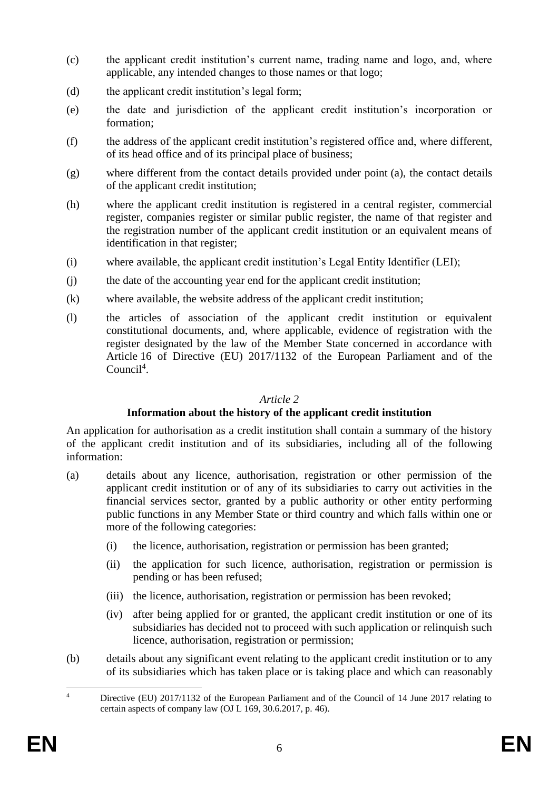- (c) the applicant credit institution's current name, trading name and logo, and, where applicable, any intended changes to those names or that logo;
- (d) the applicant credit institution's legal form;
- (e) the date and jurisdiction of the applicant credit institution's incorporation or formation;
- (f) the address of the applicant credit institution's registered office and, where different, of its head office and of its principal place of business;
- (g) where different from the contact details provided under point (a), the contact details of the applicant credit institution;
- (h) where the applicant credit institution is registered in a central register, commercial register, companies register or similar public register, the name of that register and the registration number of the applicant credit institution or an equivalent means of identification in that register;
- (i) where available, the applicant credit institution's Legal Entity Identifier (LEI);
- (j) the date of the accounting year end for the applicant credit institution;
- (k) where available, the website address of the applicant credit institution;
- (l) the articles of association of the applicant credit institution or equivalent constitutional documents, and, where applicable, evidence of registration with the register designated by the law of the Member State concerned in accordance with Article 16 of Directive (EU) 2017/1132 of the European Parliament and of the Council<sup>4</sup>.

### **Information about the history of the applicant credit institution**

An application for authorisation as a credit institution shall contain a summary of the history of the applicant credit institution and of its subsidiaries, including all of the following information:

- (a) details about any licence, authorisation, registration or other permission of the applicant credit institution or of any of its subsidiaries to carry out activities in the financial services sector, granted by a public authority or other entity performing public functions in any Member State or third country and which falls within one or more of the following categories:
	- (i) the licence, authorisation, registration or permission has been granted;
	- (ii) the application for such licence, authorisation, registration or permission is pending or has been refused;
	- (iii) the licence, authorisation, registration or permission has been revoked;
	- (iv) after being applied for or granted, the applicant credit institution or one of its subsidiaries has decided not to proceed with such application or relinquish such licence, authorisation, registration or permission;
- (b) details about any significant event relating to the applicant credit institution or to any of its subsidiaries which has taken place or is taking place and which can reasonably

 $\overline{A}$ Directive (EU) 2017/1132 of the European Parliament and of the Council of 14 June 2017 relating to certain aspects of company law (OJ L 169, 30.6.2017, p. 46).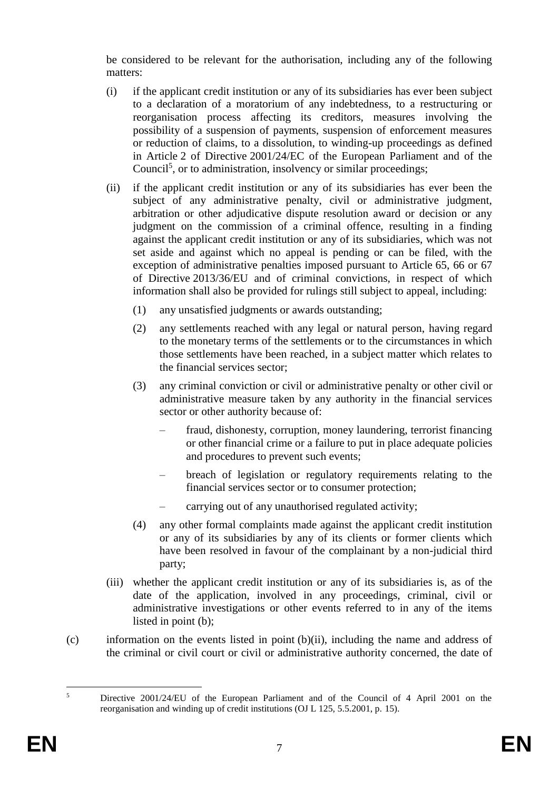be considered to be relevant for the authorisation, including any of the following matters:

- (i) if the applicant credit institution or any of its subsidiaries has ever been subject to a declaration of a moratorium of any indebtedness, to a restructuring or reorganisation process affecting its creditors, measures involving the possibility of a suspension of payments, suspension of enforcement measures or reduction of claims, to a dissolution, to winding-up proceedings as defined in Article 2 of Directive 2001/24/EC of the European Parliament and of the Council<sup>5</sup>, or to administration, insolvency or similar proceedings;
- (ii) if the applicant credit institution or any of its subsidiaries has ever been the subject of any administrative penalty, civil or administrative judgment, arbitration or other adjudicative dispute resolution award or decision or any judgment on the commission of a criminal offence, resulting in a finding against the applicant credit institution or any of its subsidiaries, which was not set aside and against which no appeal is pending or can be filed, with the exception of administrative penalties imposed pursuant to Article 65, 66 or 67 of Directive 2013/36/EU and of criminal convictions, in respect of which information shall also be provided for rulings still subject to appeal, including:
	- (1) any unsatisfied judgments or awards outstanding;
	- (2) any settlements reached with any legal or natural person, having regard to the monetary terms of the settlements or to the circumstances in which those settlements have been reached, in a subject matter which relates to the financial services sector;
	- (3) any criminal conviction or civil or administrative penalty or other civil or administrative measure taken by any authority in the financial services sector or other authority because of:
		- fraud, dishonesty, corruption, money laundering, terrorist financing or other financial crime or a failure to put in place adequate policies and procedures to prevent such events;
		- breach of legislation or regulatory requirements relating to the financial services sector or to consumer protection;
		- carrying out of any unauthorised regulated activity;
	- (4) any other formal complaints made against the applicant credit institution or any of its subsidiaries by any of its clients or former clients which have been resolved in favour of the complainant by a non-judicial third party;
- (iii) whether the applicant credit institution or any of its subsidiaries is, as of the date of the application, involved in any proceedings, criminal, civil or administrative investigations or other events referred to in any of the items listed in point (b);
- (c) information on the events listed in point (b)(ii), including the name and address of the criminal or civil court or civil or administrative authority concerned, the date of

 $\overline{\mathbf{S}}$ <sup>5</sup> Directive 2001/24/EU of the European Parliament and of the Council of 4 April 2001 on the reorganisation and winding up of credit institutions (OJ L 125, 5.5.2001, p. 15).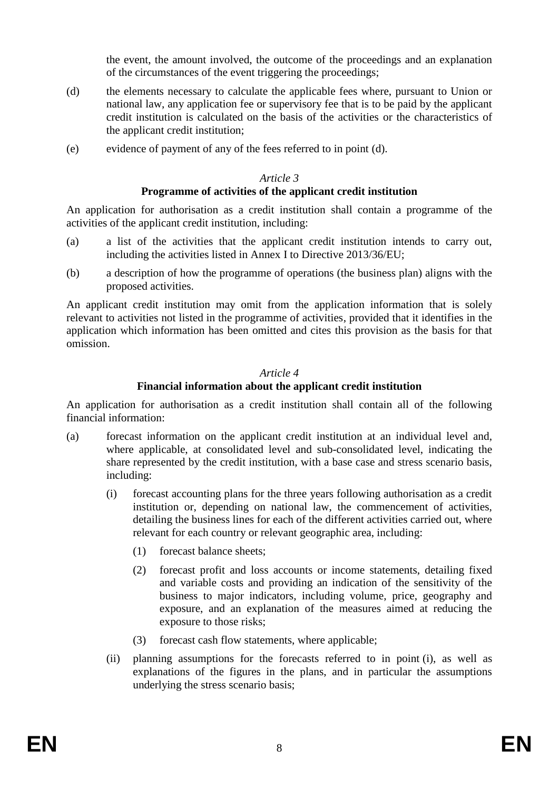the event, the amount involved, the outcome of the proceedings and an explanation of the circumstances of the event triggering the proceedings;

- (d) the elements necessary to calculate the applicable fees where, pursuant to Union or national law, any application fee or supervisory fee that is to be paid by the applicant credit institution is calculated on the basis of the activities or the characteristics of the applicant credit institution;
- (e) evidence of payment of any of the fees referred to in point (d).

### *Article 3*

#### **Programme of activities of the applicant credit institution**

An application for authorisation as a credit institution shall contain a programme of the activities of the applicant credit institution, including:

- (a) a list of the activities that the applicant credit institution intends to carry out, including the activities listed in Annex I to Directive 2013/36/EU;
- (b) a description of how the programme of operations (the business plan) aligns with the proposed activities.

An applicant credit institution may omit from the application information that is solely relevant to activities not listed in the programme of activities, provided that it identifies in the application which information has been omitted and cites this provision as the basis for that omission.

#### *Article 4*

### **Financial information about the applicant credit institution**

An application for authorisation as a credit institution shall contain all of the following financial information:

- (a) forecast information on the applicant credit institution at an individual level and, where applicable, at consolidated level and sub-consolidated level, indicating the share represented by the credit institution, with a base case and stress scenario basis, including:
	- (i) forecast accounting plans for the three years following authorisation as a credit institution or, depending on national law, the commencement of activities, detailing the business lines for each of the different activities carried out, where relevant for each country or relevant geographic area, including:
		- (1) forecast balance sheets;
		- (2) forecast profit and loss accounts or income statements, detailing fixed and variable costs and providing an indication of the sensitivity of the business to major indicators, including volume, price, geography and exposure, and an explanation of the measures aimed at reducing the exposure to those risks;
		- (3) forecast cash flow statements, where applicable;
	- (ii) planning assumptions for the forecasts referred to in point (i), as well as explanations of the figures in the plans, and in particular the assumptions underlying the stress scenario basis;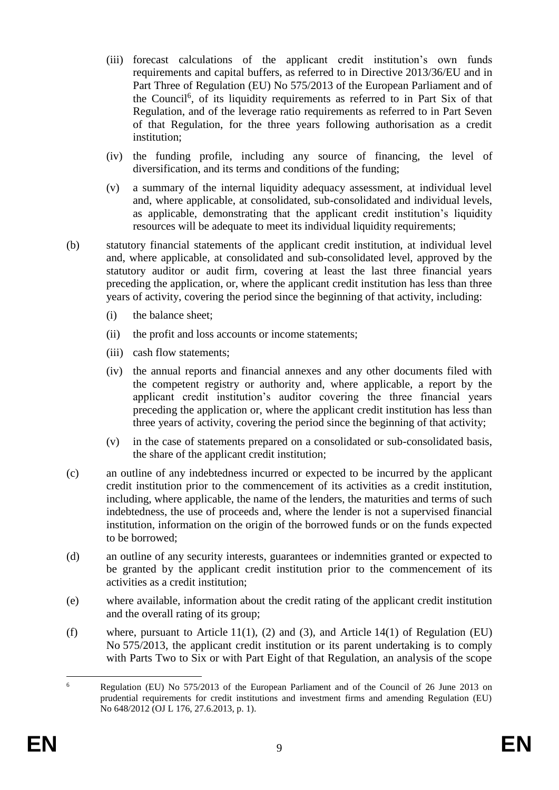- (iii) forecast calculations of the applicant credit institution's own funds requirements and capital buffers, as referred to in Directive 2013/36/EU and in Part Three of Regulation (EU) No 575/2013 of the European Parliament and of the Council<sup>6</sup>, of its liquidity requirements as referred to in Part Six of that Regulation, and of the leverage ratio requirements as referred to in Part Seven of that Regulation, for the three years following authorisation as a credit institution;
- (iv) the funding profile, including any source of financing, the level of diversification, and its terms and conditions of the funding;
- (v) a summary of the internal liquidity adequacy assessment, at individual level and, where applicable, at consolidated, sub-consolidated and individual levels, as applicable, demonstrating that the applicant credit institution's liquidity resources will be adequate to meet its individual liquidity requirements;
- (b) statutory financial statements of the applicant credit institution, at individual level and, where applicable, at consolidated and sub-consolidated level, approved by the statutory auditor or audit firm, covering at least the last three financial years preceding the application, or, where the applicant credit institution has less than three years of activity, covering the period since the beginning of that activity, including:
	- (i) the balance sheet;
	- (ii) the profit and loss accounts or income statements;
	- (iii) cash flow statements;
	- (iv) the annual reports and financial annexes and any other documents filed with the competent registry or authority and, where applicable, a report by the applicant credit institution's auditor covering the three financial years preceding the application or, where the applicant credit institution has less than three years of activity, covering the period since the beginning of that activity;
	- (v) in the case of statements prepared on a consolidated or sub-consolidated basis, the share of the applicant credit institution;
- (c) an outline of any indebtedness incurred or expected to be incurred by the applicant credit institution prior to the commencement of its activities as a credit institution, including, where applicable, the name of the lenders, the maturities and terms of such indebtedness, the use of proceeds and, where the lender is not a supervised financial institution, information on the origin of the borrowed funds or on the funds expected to be borrowed;
- (d) an outline of any security interests, guarantees or indemnities granted or expected to be granted by the applicant credit institution prior to the commencement of its activities as a credit institution;
- (e) where available, information about the credit rating of the applicant credit institution and the overall rating of its group;
- (f) where, pursuant to Article 11(1), (2) and (3), and Article 14(1) of Regulation (EU) No 575/2013, the applicant credit institution or its parent undertaking is to comply with Parts Two to Six or with Part Eight of that Regulation, an analysis of the scope

<sup>1</sup> <sup>6</sup> Regulation (EU) No 575/2013 of the European Parliament and of the Council of 26 June 2013 on prudential requirements for credit institutions and investment firms and amending Regulation (EU) No 648/2012 (OJ L 176, 27.6.2013, p. 1).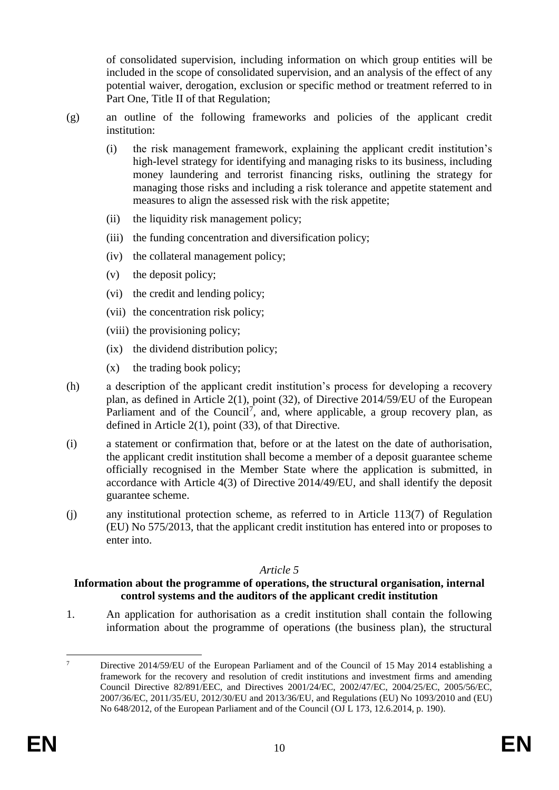of consolidated supervision, including information on which group entities will be included in the scope of consolidated supervision, and an analysis of the effect of any potential waiver, derogation, exclusion or specific method or treatment referred to in Part One, Title II of that Regulation;

- (g) an outline of the following frameworks and policies of the applicant credit institution:
	- (i) the risk management framework, explaining the applicant credit institution's high-level strategy for identifying and managing risks to its business, including money laundering and terrorist financing risks, outlining the strategy for managing those risks and including a risk tolerance and appetite statement and measures to align the assessed risk with the risk appetite;
	- (ii) the liquidity risk management policy;
	- (iii) the funding concentration and diversification policy;
	- (iv) the collateral management policy;
	- (v) the deposit policy;
	- (vi) the credit and lending policy;
	- (vii) the concentration risk policy;
	- (viii) the provisioning policy;
	- (ix) the dividend distribution policy;
	- (x) the trading book policy;
- (h) a description of the applicant credit institution's process for developing a recovery plan, as defined in Article 2(1), point (32), of Directive 2014/59/EU of the European Parliament and of the Council<sup>7</sup>, and, where applicable, a group recovery plan, as defined in Article 2(1), point (33), of that Directive.
- (i) a statement or confirmation that, before or at the latest on the date of authorisation, the applicant credit institution shall become a member of a deposit guarantee scheme officially recognised in the Member State where the application is submitted, in accordance with Article 4(3) of Directive 2014/49/EU, and shall identify the deposit guarantee scheme.
- (j) any institutional protection scheme, as referred to in Article 113(7) of Regulation (EU) No 575/2013, that the applicant credit institution has entered into or proposes to enter into.

### *Article 5*

#### **Information about the programme of operations, the structural organisation, internal control systems and the auditors of the applicant credit institution**

1. An application for authorisation as a credit institution shall contain the following information about the programme of operations (the business plan), the structural

 $\overline{7}$ <sup>7</sup> Directive 2014/59/EU of the European Parliament and of the Council of 15 May 2014 establishing a framework for the recovery and resolution of credit institutions and investment firms and amending Council Directive 82/891/EEC, and Directives 2001/24/EC, 2002/47/EC, 2004/25/EC, 2005/56/EC, 2007/36/EC, 2011/35/EU, 2012/30/EU and 2013/36/EU, and Regulations (EU) No 1093/2010 and (EU) No 648/2012, of the European Parliament and of the Council (OJ L 173, 12.6.2014, p. 190).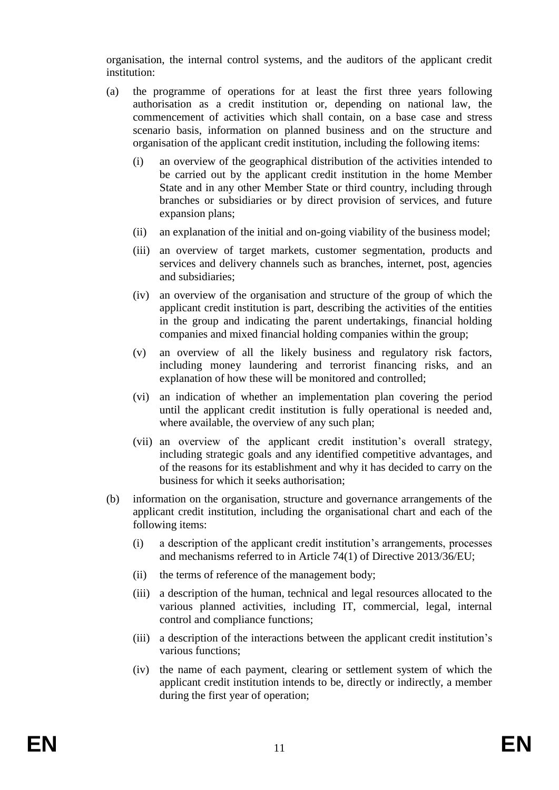organisation, the internal control systems, and the auditors of the applicant credit institution:

- (a) the programme of operations for at least the first three years following authorisation as a credit institution or, depending on national law, the commencement of activities which shall contain, on a base case and stress scenario basis, information on planned business and on the structure and organisation of the applicant credit institution, including the following items:
	- (i) an overview of the geographical distribution of the activities intended to be carried out by the applicant credit institution in the home Member State and in any other Member State or third country, including through branches or subsidiaries or by direct provision of services, and future expansion plans;
	- (ii) an explanation of the initial and on-going viability of the business model;
	- (iii) an overview of target markets, customer segmentation, products and services and delivery channels such as branches, internet, post, agencies and subsidiaries;
	- (iv) an overview of the organisation and structure of the group of which the applicant credit institution is part, describing the activities of the entities in the group and indicating the parent undertakings, financial holding companies and mixed financial holding companies within the group;
	- (v) an overview of all the likely business and regulatory risk factors, including money laundering and terrorist financing risks, and an explanation of how these will be monitored and controlled;
	- (vi) an indication of whether an implementation plan covering the period until the applicant credit institution is fully operational is needed and, where available, the overview of any such plan;
	- (vii) an overview of the applicant credit institution's overall strategy, including strategic goals and any identified competitive advantages, and of the reasons for its establishment and why it has decided to carry on the business for which it seeks authorisation;
- (b) information on the organisation, structure and governance arrangements of the applicant credit institution, including the organisational chart and each of the following items:
	- (i) a description of the applicant credit institution's arrangements, processes and mechanisms referred to in Article 74(1) of Directive 2013/36/EU;
	- (ii) the terms of reference of the management body;
	- (iii) a description of the human, technical and legal resources allocated to the various planned activities, including IT, commercial, legal, internal control and compliance functions;
	- (iii) a description of the interactions between the applicant credit institution's various functions;
	- (iv) the name of each payment, clearing or settlement system of which the applicant credit institution intends to be, directly or indirectly, a member during the first year of operation;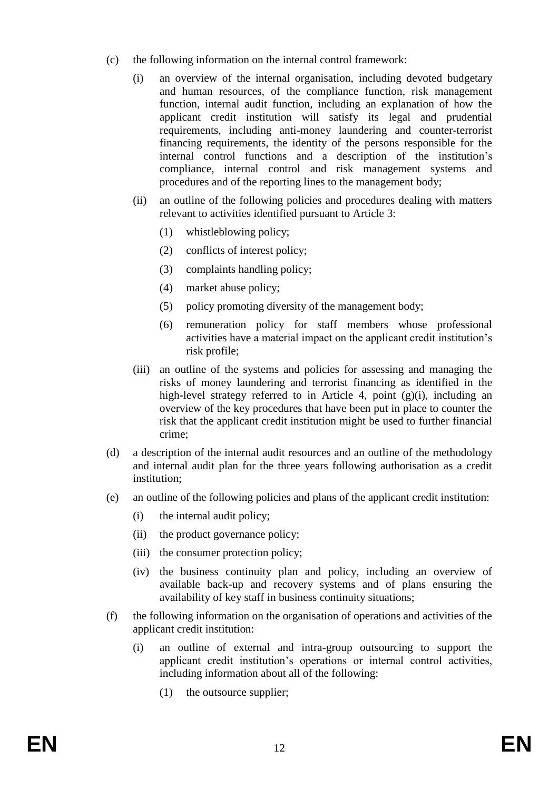- (c) the following information on the internal control framework:
	- (i) an overview of the internal organisation, including devoted budgetary and human resources, of the compliance function, risk management function, internal audit function, including an explanation of how the applicant credit institution will satisfy its legal and prudential requirements, including anti-money laundering and counter-terrorist financing requirements, the identity of the persons responsible for the internal control functions and a description of the institution's compliance, internal control and risk management systems and procedures and of the reporting lines to the management body;
	- (ii) an outline of the following policies and procedures dealing with matters relevant to activities identified pursuant to Article 3:
		- (1) whistleblowing policy;
		- (2) conflicts of interest policy;
		- (3) complaints handling policy;
		- (4) market abuse policy;
		- (5) policy promoting diversity of the management body;
		- (6) remuneration policy for staff members whose professional activities have a material impact on the applicant credit institution's risk profile;
	- (iii) an outline of the systems and policies for assessing and managing the risks of money laundering and terrorist financing as identified in the high-level strategy referred to in Article 4, point (g)(i), including an overview of the key procedures that have been put in place to counter the risk that the applicant credit institution might be used to further financial crime;
- (d) a description of the internal audit resources and an outline of the methodology and internal audit plan for the three years following authorisation as a credit institution;
- (e) an outline of the following policies and plans of the applicant credit institution:
	- (i) the internal audit policy;
	- (ii) the product governance policy;
	- (iii) the consumer protection policy;
	- (iv) the business continuity plan and policy, including an overview of available back-up and recovery systems and of plans ensuring the availability of key staff in business continuity situations;
- (f) the following information on the organisation of operations and activities of the applicant credit institution:
	- (i) an outline of external and intra-group outsourcing to support the applicant credit institution's operations or internal control activities, including information about all of the following:
		- (1) the outsource supplier;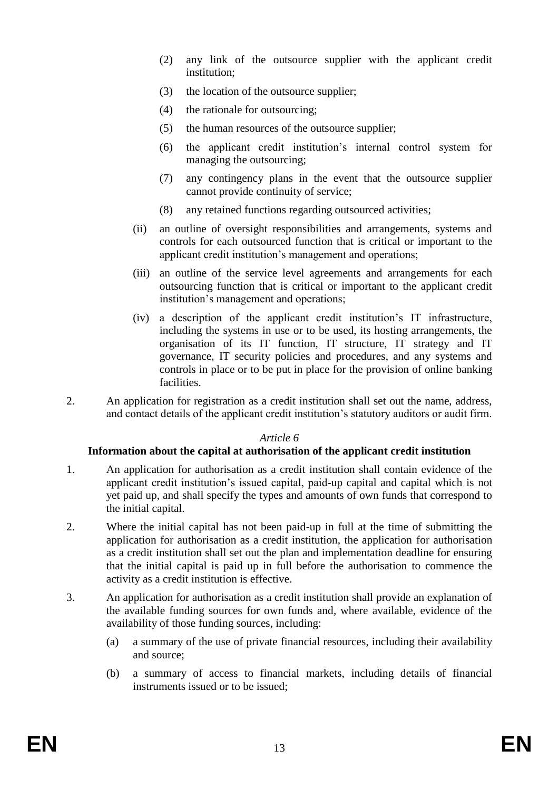- (2) any link of the outsource supplier with the applicant credit institution;
- (3) the location of the outsource supplier;
- (4) the rationale for outsourcing;
- (5) the human resources of the outsource supplier;
- (6) the applicant credit institution's internal control system for managing the outsourcing;
- (7) any contingency plans in the event that the outsource supplier cannot provide continuity of service;
- (8) any retained functions regarding outsourced activities;
- (ii) an outline of oversight responsibilities and arrangements, systems and controls for each outsourced function that is critical or important to the applicant credit institution's management and operations;
- (iii) an outline of the service level agreements and arrangements for each outsourcing function that is critical or important to the applicant credit institution's management and operations;
- (iv) a description of the applicant credit institution's IT infrastructure, including the systems in use or to be used, its hosting arrangements, the organisation of its IT function, IT structure, IT strategy and IT governance, IT security policies and procedures, and any systems and controls in place or to be put in place for the provision of online banking facilities.
- 2. An application for registration as a credit institution shall set out the name, address, and contact details of the applicant credit institution's statutory auditors or audit firm.

#### **Information about the capital at authorisation of the applicant credit institution**

- 1. An application for authorisation as a credit institution shall contain evidence of the applicant credit institution's issued capital, paid-up capital and capital which is not yet paid up, and shall specify the types and amounts of own funds that correspond to the initial capital.
- 2. Where the initial capital has not been paid-up in full at the time of submitting the application for authorisation as a credit institution, the application for authorisation as a credit institution shall set out the plan and implementation deadline for ensuring that the initial capital is paid up in full before the authorisation to commence the activity as a credit institution is effective.
- 3. An application for authorisation as a credit institution shall provide an explanation of the available funding sources for own funds and, where available, evidence of the availability of those funding sources, including:
	- (a) a summary of the use of private financial resources, including their availability and source;
	- (b) a summary of access to financial markets, including details of financial instruments issued or to be issued;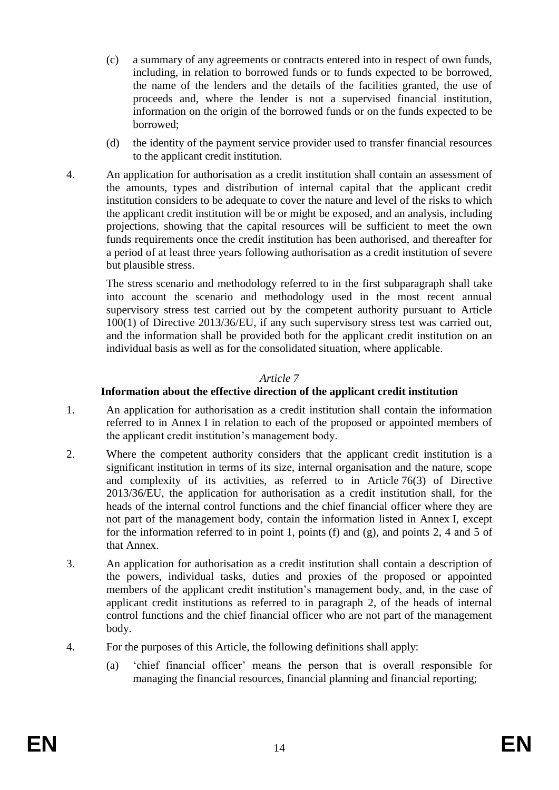- (c) a summary of any agreements or contracts entered into in respect of own funds, including, in relation to borrowed funds or to funds expected to be borrowed, the name of the lenders and the details of the facilities granted, the use of proceeds and, where the lender is not a supervised financial institution, information on the origin of the borrowed funds or on the funds expected to be borrowed;
- (d) the identity of the payment service provider used to transfer financial resources to the applicant credit institution.
- 4. An application for authorisation as a credit institution shall contain an assessment of the amounts, types and distribution of internal capital that the applicant credit institution considers to be adequate to cover the nature and level of the risks to which the applicant credit institution will be or might be exposed, and an analysis, including projections, showing that the capital resources will be sufficient to meet the own funds requirements once the credit institution has been authorised, and thereafter for a period of at least three years following authorisation as a credit institution of severe but plausible stress.

The stress scenario and methodology referred to in the first subparagraph shall take into account the scenario and methodology used in the most recent annual supervisory stress test carried out by the competent authority pursuant to Article 100(1) of Directive 2013/36/EU, if any such supervisory stress test was carried out, and the information shall be provided both for the applicant credit institution on an individual basis as well as for the consolidated situation, where applicable.

### *Article 7*

### **Information about the effective direction of the applicant credit institution**

- 1. An application for authorisation as a credit institution shall contain the information referred to in Annex I in relation to each of the proposed or appointed members of the applicant credit institution's management body.
- 2. Where the competent authority considers that the applicant credit institution is a significant institution in terms of its size, internal organisation and the nature, scope and complexity of its activities, as referred to in Article 76(3) of Directive 2013/36/EU, the application for authorisation as a credit institution shall, for the heads of the internal control functions and the chief financial officer where they are not part of the management body, contain the information listed in Annex I, except for the information referred to in point 1, points (f) and (g), and points 2, 4 and 5 of that Annex.
- 3. An application for authorisation as a credit institution shall contain a description of the powers, individual tasks, duties and proxies of the proposed or appointed members of the applicant credit institution's management body, and, in the case of applicant credit institutions as referred to in paragraph 2, of the heads of internal control functions and the chief financial officer who are not part of the management body.
- 4. For the purposes of this Article, the following definitions shall apply:
	- (a) 'chief financial officer' means the person that is overall responsible for managing the financial resources, financial planning and financial reporting;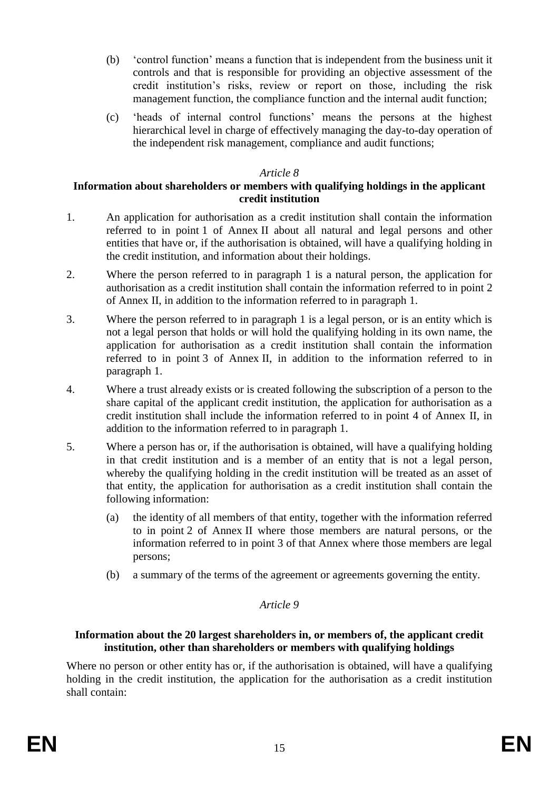- (b) 'control function' means a function that is independent from the business unit it controls and that is responsible for providing an objective assessment of the credit institution's risks, review or report on those, including the risk management function, the compliance function and the internal audit function;
- (c) 'heads of internal control functions' means the persons at the highest hierarchical level in charge of effectively managing the day-to-day operation of the independent risk management, compliance and audit functions;

#### **Information about shareholders or members with qualifying holdings in the applicant credit institution**

- 1. An application for authorisation as a credit institution shall contain the information referred to in point 1 of Annex II about all natural and legal persons and other entities that have or, if the authorisation is obtained, will have a qualifying holding in the credit institution, and information about their holdings.
- 2. Where the person referred to in paragraph 1 is a natural person, the application for authorisation as a credit institution shall contain the information referred to in point 2 of Annex II, in addition to the information referred to in paragraph 1.
- 3. Where the person referred to in paragraph 1 is a legal person, or is an entity which is not a legal person that holds or will hold the qualifying holding in its own name, the application for authorisation as a credit institution shall contain the information referred to in point 3 of Annex II, in addition to the information referred to in paragraph 1.
- 4. Where a trust already exists or is created following the subscription of a person to the share capital of the applicant credit institution, the application for authorisation as a credit institution shall include the information referred to in point 4 of Annex II, in addition to the information referred to in paragraph 1.
- 5. Where a person has or, if the authorisation is obtained, will have a qualifying holding in that credit institution and is a member of an entity that is not a legal person, whereby the qualifying holding in the credit institution will be treated as an asset of that entity, the application for authorisation as a credit institution shall contain the following information:
	- (a) the identity of all members of that entity, together with the information referred to in point 2 of Annex II where those members are natural persons, or the information referred to in point 3 of that Annex where those members are legal persons;
	- (b) a summary of the terms of the agreement or agreements governing the entity.

### *Article 9*

#### **Information about the 20 largest shareholders in, or members of, the applicant credit institution, other than shareholders or members with qualifying holdings**

Where no person or other entity has or, if the authorisation is obtained, will have a qualifying holding in the credit institution, the application for the authorisation as a credit institution shall contain: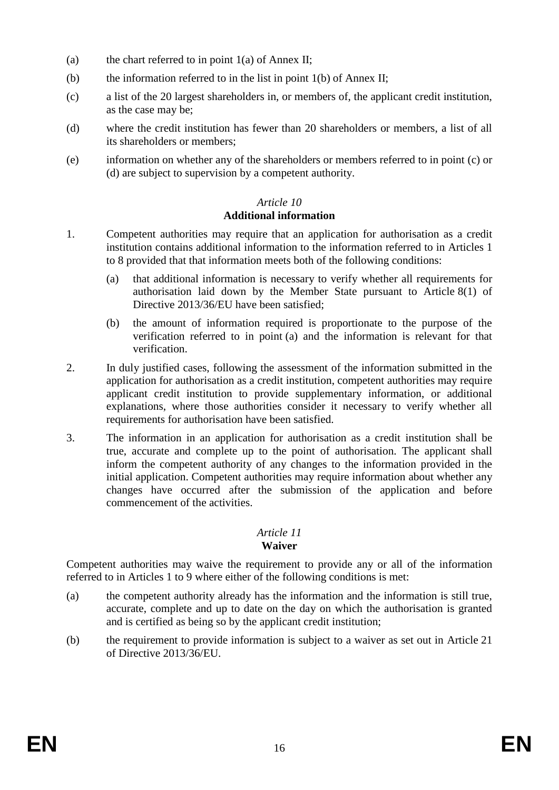- (a) the chart referred to in point  $1(a)$  of Annex II;
- (b) the information referred to in the list in point 1(b) of Annex II;
- (c) a list of the 20 largest shareholders in, or members of, the applicant credit institution, as the case may be;
- (d) where the credit institution has fewer than 20 shareholders or members, a list of all its shareholders or members;
- (e) information on whether any of the shareholders or members referred to in point (c) or (d) are subject to supervision by a competent authority.

#### *Article 10* **Additional information**

- 1. Competent authorities may require that an application for authorisation as a credit institution contains additional information to the information referred to in Articles 1 to 8 provided that that information meets both of the following conditions:
	- (a) that additional information is necessary to verify whether all requirements for authorisation laid down by the Member State pursuant to Article 8(1) of Directive 2013/36/EU have been satisfied:
	- (b) the amount of information required is proportionate to the purpose of the verification referred to in point (a) and the information is relevant for that verification.
- 2. In duly justified cases, following the assessment of the information submitted in the application for authorisation as a credit institution, competent authorities may require applicant credit institution to provide supplementary information, or additional explanations, where those authorities consider it necessary to verify whether all requirements for authorisation have been satisfied.
- 3. The information in an application for authorisation as a credit institution shall be true, accurate and complete up to the point of authorisation. The applicant shall inform the competent authority of any changes to the information provided in the initial application. Competent authorities may require information about whether any changes have occurred after the submission of the application and before commencement of the activities.

#### *Article 11* **Waiver**

Competent authorities may waive the requirement to provide any or all of the information referred to in Articles 1 to 9 where either of the following conditions is met:

- (a) the competent authority already has the information and the information is still true, accurate, complete and up to date on the day on which the authorisation is granted and is certified as being so by the applicant credit institution;
- (b) the requirement to provide information is subject to a waiver as set out in Article 21 of Directive 2013/36/EU.